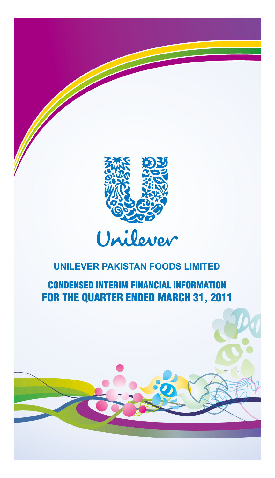

# **CONDENSED INTERIM FINANCIAL INFORMATION FOR THE QUARTER ENDED MARCH 31, 2011**

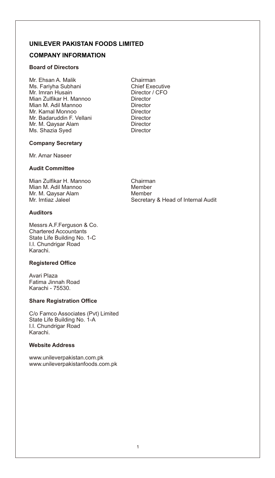## **COMPANY INFORMATION**

#### **Board of Directors**

Mr. Ehsan A. Malik Chairman Ms. Fariyha Subhani Chief Executive Mr. Imran Husain Director / CFO Mian Zulfikar H. Mannoo Director Mian M. Adil Mannoo Director Mr. Kamal Monnoo Mr. Badaruddin F. Vellani **Director** Mr. M. Qaysar Alam **Director** Ms. Shazia Syed Director

#### **Company Secretary**

Mr. Amar Naseer

#### **Audit Committee**

Mian Zulfikar H. Mannoo Chairman Mian M. Adil Mannoo Member Mr. M. Qaysar Alam Member<br>Mr. Imtiaz Jaleel Mr. Secretar

### **Auditors**

Messrs A.F.Ferguson & Co. Chartered Accountants State Life Building No. 1-C I.I. Chundrigar Road Karachi.

#### **Registered Office**

Avari Plaza Fatima Jinnah Road Karachi - 75530.

#### **Share Registration Office**

C/o Famco Associates (Pvt) Limited State Life Building No. 1-A I.I. Chundrigar Road Karachi.

#### **Website Address**

www.unileverpakistan.com.pk www.unileverpakistanfoods.com.pk Secretary & Head of Internal Audit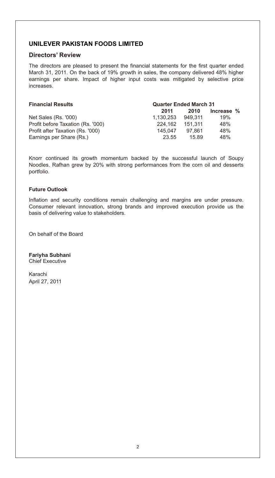#### **Directors' Review**

The directors are pleased to present the financial statements for the first quarter ended March 31, 2011. On the back of 19% growth in sales, the company delivered 48% higher earnings per share. Impact of higher input costs was mitigated by selective price increases.

| <b>Financial Results</b>          | <b>Quarter Ended March 31</b> |         |            |  |
|-----------------------------------|-------------------------------|---------|------------|--|
|                                   | 2011                          | 2010    | Increase % |  |
| Net Sales (Rs. '000)              | 1.130.253                     | 949.311 | 19%        |  |
| Profit before Taxation (Rs. '000) | 224.162                       | 151.311 | 48%        |  |
| Profit after Taxation (Rs. '000)  | 145.047                       | 97.861  | 48%        |  |
| Earnings per Share (Rs.)          | 23.55                         | 1589    | 48%        |  |

Knorr continued its growth momentum backed by the successful launch of Soupy Noodles. Rafhan grew by 20% with strong performances from the corn oil and desserts portfolio.

#### **Future Outlook**

Inflation and security conditions remain challenging and margins are under pressure. Consumer relevant innovation, strong brands and improved execution provide us the basis of delivering value to stakeholders.

On behalf of the Board

**Fariyha Subhani** Chief Executive

Karachi April 27, 2011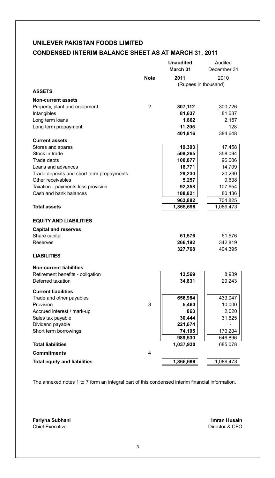## **CONDENSED INTERIM BALANCE SHEET AS AT MARCH 31, 2011**

|                                           |      | <b>Unaudited</b><br>March 31 | Audited<br>December 31 |
|-------------------------------------------|------|------------------------------|------------------------|
|                                           | Note | 2011                         | 2010                   |
|                                           |      | (Rupees in thousand)         |                        |
| <b>ASSETS</b>                             |      |                              |                        |
| <b>Non-current assets</b>                 |      |                              |                        |
| Property, plant and equipment             | 2    | 307,112                      | 300,726                |
| Intangibles                               |      | 81,637                       | 81,637                 |
| Long term loans                           |      | 1,862                        | 2,157                  |
| Long term prepayment                      |      | 11,205                       | 128                    |
|                                           |      | 401,816                      | 384,648                |
| <b>Current assets</b>                     |      |                              |                        |
| Stores and spares                         |      | 19,303                       | 17,458                 |
| Stock in trade                            |      | 509,265                      | 358,094                |
| Trade debts                               |      | 100,877                      | 96,606                 |
| Loans and advances                        |      | 18,771                       | 14,709                 |
| Trade deposits and short term prepayments |      | 29,230                       | 20,230                 |
| Other receivables                         |      | 5,257                        | 9,638                  |
| Taxation - payments less provision        |      | 92,358                       | 107,654                |
| Cash and bank balances                    |      | 188,821                      | 80,436                 |
|                                           |      | 963,882                      | 704,825                |
| <b>Total assets</b>                       |      | 1,365,698                    | 1,089,473              |
| <b>EQUITY AND LIABILITIES</b>             |      |                              |                        |
| <b>Capital and reserves</b>               |      |                              |                        |
| Share capital                             |      | 61,576                       | 61,576                 |
| Reserves                                  |      | 266,192                      | 342,819                |
|                                           |      | 327,768                      | 404,395                |
| <b>LIABILITIES</b>                        |      |                              |                        |
| <b>Non-current liabilities</b>            |      |                              |                        |
| Retirement benefits - obligation          |      | 13,569                       | 8,939                  |
| Deferred taxation                         |      | 34,831                       | 29,243                 |
|                                           |      |                              |                        |
| <b>Current liabilities</b>                |      |                              |                        |
| Trade and other payables                  |      | 656,984                      | 433,047                |
| Provision                                 | 3    | 5,460<br>863                 | 10,000                 |
| Accrued interest / mark-up                |      | 30,444                       | 2,020                  |
| Sales tax payable<br>Dividend payable     |      | 221,674                      | 31,625                 |
| Short term borrowings                     |      | 74,105                       | 170,204                |
|                                           |      | 989,530                      | 646,896                |
| <b>Total liabilities</b>                  |      | 1,037,930                    | 685,078                |
| <b>Commitments</b>                        | 4    |                              |                        |
|                                           |      |                              |                        |
| <b>Total equity and liabilities</b>       |      | 1,365,698                    | 1,089,473              |

The annexed notes 1 to 7 form an integral part of this condensed interim financial information.

**Fariyha Subhani** Chief Executive

Director & CFO **Imran Husain**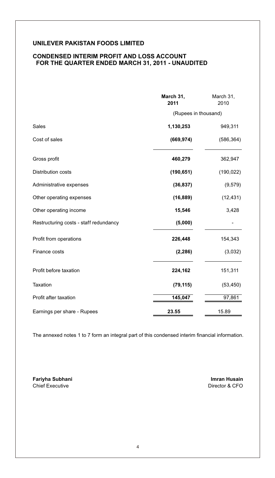#### **CONDENSED INTERIM PROFIT AND LOSS ACCOUNT FOR THE QUARTER ENDED MARCH 31, 2011 - UNAUDITED**

|                                        | March 31,<br>2011    | March 31,<br>2010 |
|----------------------------------------|----------------------|-------------------|
|                                        | (Rupees in thousand) |                   |
| Sales                                  | 1,130,253            | 949,311           |
| Cost of sales                          | (669, 974)           | (586, 364)        |
| Gross profit                           | 460,279              | 362,947           |
| Distribution costs                     | (190, 651)           | (190, 022)        |
| Administrative expenses                | (36, 837)            | (9, 579)          |
| Other operating expenses               | (16, 889)            | (12, 431)         |
| Other operating income                 | 15,546               | 3,428             |
| Restructuring costs - staff redundancy | (5,000)              |                   |
| Profit from operations                 | 226,448              | 154,343           |
| Finance costs                          | (2, 286)             | (3,032)           |
| Profit before taxation                 | 224,162              | 151,311           |
| Taxation                               | (79, 115)            | (53, 450)         |
| Profit after taxation                  | 145,047              | 97,861            |
| Earnings per share - Rupees            | 23.55                | 15.89             |

 The annexed notes 1 to 7 form an integral part of this condensed interim financial information.

**Fariyha Subhani Imran Husain**  Chief Executive **Director & CFO**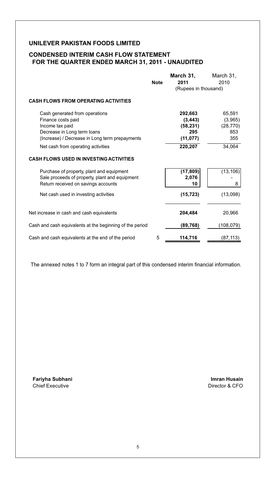## **CONDENSED INTERIM CASH FLOW STATEMENT FOR THE QUARTER ENDED MARCH 31, 2011 - UNAUDITED**

|                                                          |             | March 31,            | March 31, |
|----------------------------------------------------------|-------------|----------------------|-----------|
|                                                          | <b>Note</b> | 2011                 | 2010      |
|                                                          |             | (Rupees in thousand) |           |
| <b>CASH FLOWS FROM OPERATING ACTIVITIES</b>              |             |                      |           |
| Cash generated from operations                           |             | 292,663              | 65,591    |
| Finance costs paid                                       |             | (3, 443)             | (3,965)   |
| Income tax paid                                          |             | (58, 231)            | (28, 770) |
| Decrease in Long term loans                              |             | 295                  | 853       |
| (Increase) / Decrease in Long term prepayments           |             | (11, 077)            | 355       |
| Net cash from operating activities                       |             | 220,207              | 34,064    |
| <b>CASH FLOWS USED IN INVESTING ACTIVITIES</b>           |             |                      |           |
| Purchase of property, plant and equipment                |             | (17, 809)            | (13, 106) |
| Sale proceeds of property, plant and equipment           |             | 2,076                |           |
| Return received on savings accounts                      |             | 10                   | 8         |
| Net cash used in investing activities                    |             | (15, 723)            | (13,098)  |
| Net increase in cash and cash equivalents                |             | 204,484              | 20,966    |
| Cash and cash equivalents at the beginning of the period |             | (89,768)             | (108,079) |
| Cash and cash equivalents at the end of the period       | 5           | 114,716              | (87, 113) |

The annexed notes 1 to 7 form an integral part of this condensed interim financial information.

**Fariyha Subhani Imran Husain**  Chief Executive **Director & CFO**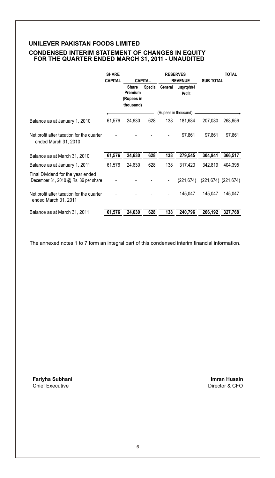#### **CONDENSED INTERIM STATEMENT OF CHANGES IN EQUITY FOR THE QUARTER ENDED MARCH 31, 2011 - UNAUDITED**

|                                                                             | <b>SHARE</b>   |                                |                | <b>RESERVES</b> |                                    |         | <b>TOTAL</b>              |  |
|-----------------------------------------------------------------------------|----------------|--------------------------------|----------------|-----------------|------------------------------------|---------|---------------------------|--|
|                                                                             | <b>CAPITAL</b> |                                | <b>CAPITAL</b> |                 | <b>REVENUE</b><br><b>SUB TOTAL</b> |         |                           |  |
|                                                                             |                | Share<br>Premium<br>(Rupees in |                | Special General | Unappropriated<br><b>Profit</b>    |         |                           |  |
|                                                                             |                | thousand)                      |                |                 |                                    |         |                           |  |
|                                                                             |                |                                |                |                 | (Rupees in thousand)               |         |                           |  |
| Balance as at January 1, 2010                                               | 61,576         | 24,630                         | 628            | 138             | 181,684                            | 207,080 | 268,656                   |  |
| Net profit after taxation for the quarter<br>ended March 31, 2010           |                |                                |                |                 | 97,861                             | 97,861  | 97,861                    |  |
| Balance as at March 31, 2010                                                | 61,576         | 24,630                         | 628            | 138             | 279,545                            | 304,941 | 366,517                   |  |
| Balance as at January 1, 2011                                               | 61,576         | 24,630                         | 628            | 138             | 317,423                            | 342.819 | 404.395                   |  |
| Final Dividend for the year ended<br>December 31, 2010 $@$ Rs. 36 per share |                |                                |                |                 | (221.674)                          |         | $(221, 674)$ $(221, 674)$ |  |
| Net profit after taxation for the quarter<br>ended March 31, 2011           |                |                                |                |                 | 145,047                            | 145,047 | 145,047                   |  |
| Balance as at March 31, 2011                                                | 61,576         | 24,630                         | 628            | 138             | 240,796                            | 266,192 | 327,768                   |  |

The annexed notes 1 to 7 form an integral part of this condensed interim financial information.

**Fariyha Subhani Imran Husain**  Chief Executive **Director & CFO**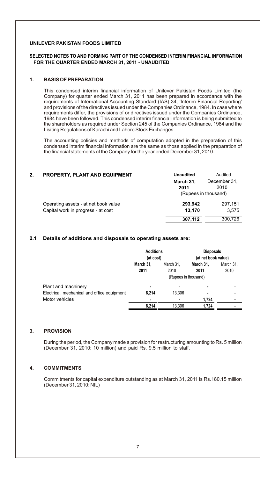#### **SELECTED NOTES TO AND FORMING PART OF THE CONDENSED INTERIM FINANCIAL INFORMATION FOR THE QUARTER ENDED MARCH 31, 2011 - UNAUDITED**

#### **1. BASIS OF PREPARATION**

This condensed interim financial information of Unilever Pakistan Foods Limited (the Company) for quarter ended March 31, 2011 has been prepared in accordance with the requirements of International Accounting Standard (IAS) 34, 'Interim Financial Reporting' and provisions of the directives issued under the Companies Ordinance, 1984. In case where requirements differ, the provisions of or directives issued under the Companies Ordinance, 1984 have been followed. This condensed interim financial information is being submitted to the shareholders as required under Section 245 of the Companies Ordinance, 1984 and the Lisiting Regulations of Karachi and Lahore Stock Exchanges.

The accounting policies and methods of computation adopted in the preparation of this condensed interim financial information are the same as those applied in the preparation of the financial statements of the Company for the year ended December 31, 2010.

| 2. | PROPERTY, PLANT AND EQUIPMENT                                              | <b>Unaudited</b>                                                  | Audited          |
|----|----------------------------------------------------------------------------|-------------------------------------------------------------------|------------------|
|    |                                                                            | December 31,<br>March 31,<br>2010<br>2011<br>(Rupees in thousand) |                  |
|    | Operating assets - at net book value<br>Capital work in progress - at cost | 293.942<br>13,170                                                 | 297,151<br>3.575 |
|    |                                                                            | 307.112                                                           | 300.726          |

#### **2.1 Details of additions and disposals to operating assets are:**

|                                                                                      | <b>Additions</b><br>(at cost) |                   | <b>Disposals</b><br>(at net book value)   |                   |
|--------------------------------------------------------------------------------------|-------------------------------|-------------------|-------------------------------------------|-------------------|
|                                                                                      | March 31,<br>2011             | March 31,<br>2010 | March 31,<br>2011<br>(Rupees in thousand) | March 31.<br>2010 |
| Plant and machinery<br>Electrical, mechanical and office equipment<br>Motor vehicles | ۰<br>8.214                    | 13.306            | ۰<br>۰                                    |                   |
|                                                                                      | 8.214                         | 13.306            | 1,724<br>1,724                            |                   |

#### **3. PROVISION**

During the period, the Company made a provision for restructuring amounting to Rs. 5 million (December 31, 2010: 10 million) and paid Rs. 9.5 million to staff.

#### **4. COMMITMENTS**

Commitments for capital expenditure outstanding as at March 31, 2011 is Rs.180.15 million (December 31, 2010: NIL)